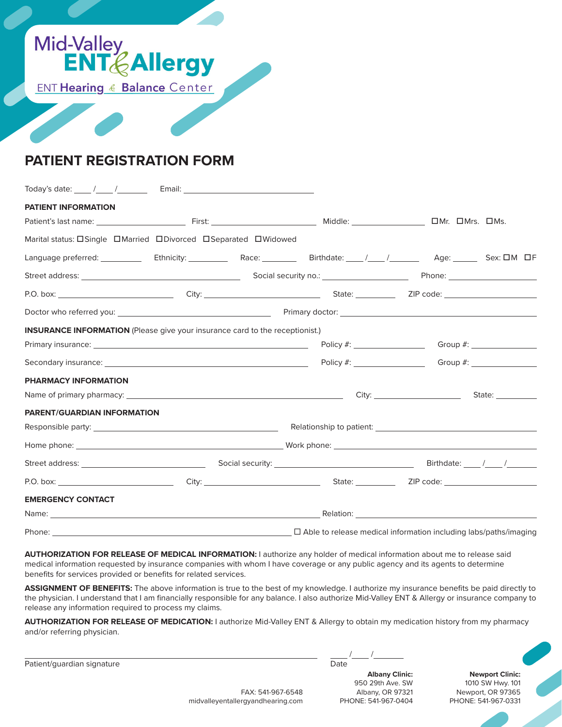

# **PATIENT REGISTRATION FORM**

| PATIENT INFORMATION                                                                                                                                                                                                            |  |  |                                                                         |                    |  |  |  |
|--------------------------------------------------------------------------------------------------------------------------------------------------------------------------------------------------------------------------------|--|--|-------------------------------------------------------------------------|--------------------|--|--|--|
|                                                                                                                                                                                                                                |  |  |                                                                         |                    |  |  |  |
| Marital status: <b>Only and Publisher Convents</b> Marital Separated DWidowed                                                                                                                                                  |  |  |                                                                         |                    |  |  |  |
| Language preferred: Case Christopher Christopher Christopher Christopher Christopher Christopher Christopher Christopher Christopher Christopher Christopher Christopher Christopher Christopher Christopher Christopher Chris |  |  |                                                                         |                    |  |  |  |
|                                                                                                                                                                                                                                |  |  |                                                                         |                    |  |  |  |
|                                                                                                                                                                                                                                |  |  |                                                                         |                    |  |  |  |
|                                                                                                                                                                                                                                |  |  |                                                                         |                    |  |  |  |
| <b>INSURANCE INFORMATION</b> (Please give your insurance card to the receptionist.)                                                                                                                                            |  |  |                                                                         |                    |  |  |  |
|                                                                                                                                                                                                                                |  |  |                                                                         |                    |  |  |  |
|                                                                                                                                                                                                                                |  |  |                                                                         |                    |  |  |  |
| PHARMACY INFORMATION                                                                                                                                                                                                           |  |  |                                                                         |                    |  |  |  |
|                                                                                                                                                                                                                                |  |  |                                                                         | State: ___________ |  |  |  |
| PARENT/GUARDIAN INFORMATION                                                                                                                                                                                                    |  |  |                                                                         |                    |  |  |  |
|                                                                                                                                                                                                                                |  |  |                                                                         |                    |  |  |  |
|                                                                                                                                                                                                                                |  |  |                                                                         |                    |  |  |  |
|                                                                                                                                                                                                                                |  |  |                                                                         |                    |  |  |  |
|                                                                                                                                                                                                                                |  |  |                                                                         |                    |  |  |  |
| <b>EMERGENCY CONTACT</b>                                                                                                                                                                                                       |  |  |                                                                         |                    |  |  |  |
|                                                                                                                                                                                                                                |  |  |                                                                         |                    |  |  |  |
|                                                                                                                                                                                                                                |  |  | $\Box$ Able to release medical information including labs/paths/imaging |                    |  |  |  |

**AUTHORIZATION FOR RELEASE OF MEDICAL INFORMATION:** I authorize any holder of medical information about me to release said medical information requested by insurance companies with whom I have coverage or any public agency and its agents to determine benefits for services provided or benefits for related services.

**ASSIGNMENT OF BENEFITS:** The above information is true to the best of my knowledge. I authorize my insurance benefits be paid directly to the physician. I understand that I am financially responsible for any balance. I also authorize Mid-Valley ENT & Allergy or insurance company to release any information required to process my claims.

**AUTHORIZATION FOR RELEASE OF MEDICATION:** I authorize Mid-Valley ENT & Allergy to obtain my medication history from my pharmacy and/or referring physician.

Patient/guardian signature **Date of American Structure Date** Date Date of Date Date of Date Date of Date of Date of Date of Date of Date of Date of Date of Date of Date of Date of Date of Date of Date of Date of Date of Da

**Albany Clinic:** 950 29th Ave. SW Albany, OR 97321 PHONE: 541-967-0404

**Newport Clinic:** 1010 SW Hwy. 101 Newport, OR 97365 PHONE: 541-967-0331

FAX: 541-967-6548 midvalleyentallergyandhearing.com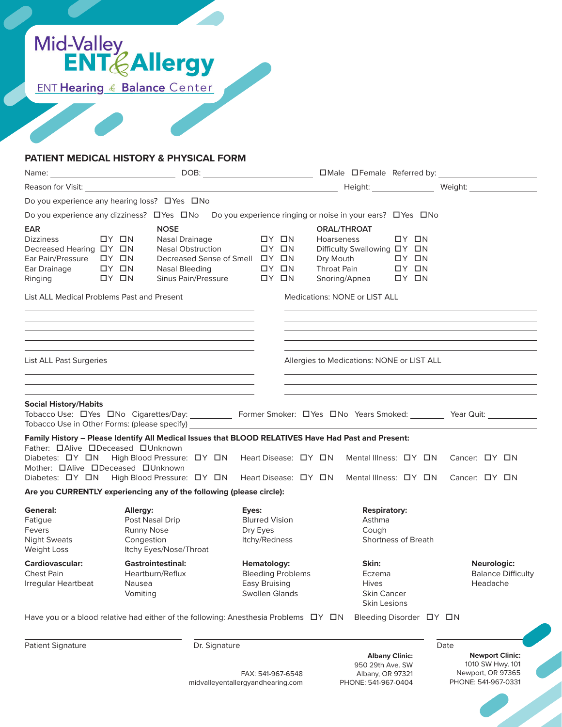

#### **PATIENT MEDICAL HISTORY & PHYSICAL FORM**

|                                                                                                                                                                                 |                                                                                          |                                                                                                                                                                                                                                                   |                                                             |  |                                                                                   |                                                                      |                                                                              |                                                              |                                                      | Weight: Weight:                                                                                                                                                                                                               |
|---------------------------------------------------------------------------------------------------------------------------------------------------------------------------------|------------------------------------------------------------------------------------------|---------------------------------------------------------------------------------------------------------------------------------------------------------------------------------------------------------------------------------------------------|-------------------------------------------------------------|--|-----------------------------------------------------------------------------------|----------------------------------------------------------------------|------------------------------------------------------------------------------|--------------------------------------------------------------|------------------------------------------------------|-------------------------------------------------------------------------------------------------------------------------------------------------------------------------------------------------------------------------------|
| Do you experience any hearing loss? □ Yes □ No                                                                                                                                  |                                                                                          |                                                                                                                                                                                                                                                   |                                                             |  |                                                                                   |                                                                      |                                                                              |                                                              |                                                      |                                                                                                                                                                                                                               |
| Do you experience any dizziness? □ Yes □ No                                                                                                                                     |                                                                                          |                                                                                                                                                                                                                                                   |                                                             |  |                                                                                   |                                                                      | Do you experience ringing or noise in your ears? □ Yes □ No                  |                                                              |                                                      |                                                                                                                                                                                                                               |
| EAR<br><b>Dizziness</b><br>Decreased Hearing DY ON<br>Ear Drainage<br>Ringing                                                                                                   | $DY$ $\Box N$<br>$\Box Y$ $\Box N$<br>$DY$ $\Box$ N                                      | <b>NOSE</b><br>Nasal Drainage<br><b>Nasal Obstruction</b><br>Decreased Sense of Smell $\Box Y$ $\Box N$<br>Nasal Bleeding<br>Sinus Pain/Pressure                                                                                                  |                                                             |  | $DY$ $\Box N$<br>$DY$ $\Box N$<br>$DY$ $\Box N$<br>$DY$ $\Box N$                  | <b>Hoarseness</b><br>Dry Mouth<br>Throat Pain                        | <b>ORAL/THROAT</b><br>Difficulty Swallowing DY DN<br>Snoring/Apnea           | $DY$ $IN$<br>OY ON<br>$\Box Y$ $\Box N$<br>$\Box Y$ $\Box N$ |                                                      |                                                                                                                                                                                                                               |
| List ALL Medical Problems Past and Present                                                                                                                                      |                                                                                          | the control of the control of the control of the control of the control of the control of                                                                                                                                                         |                                                             |  |                                                                                   |                                                                      | <b>Medications: NONE or LIST ALL</b>                                         |                                                              |                                                      |                                                                                                                                                                                                                               |
|                                                                                                                                                                                 |                                                                                          | <u> 1989 - Johann Stoff, deutscher Stoff, der Stoff, der Stoff, der Stoff, der Stoff, der Stoff, der Stoff, der S</u><br><u> 1989 - Johann Stoff, amerikansk politiker (* 1908)</u><br><u> 1989 - Johann Stoff, amerikansk politiker (* 1908)</u> |                                                             |  |                                                                                   |                                                                      |                                                                              |                                                              |                                                      | the control of the control of the control of the control of the control of the control of the control of the control of the control of the control of the control of the control of the control of the control of the control |
| List ALL Past Surgeries                                                                                                                                                         |                                                                                          |                                                                                                                                                                                                                                                   |                                                             |  |                                                                                   |                                                                      | Allergies to Medications: NONE or LIST ALL                                   |                                                              |                                                      |                                                                                                                                                                                                                               |
|                                                                                                                                                                                 |                                                                                          | the control of the control of the control of the control of the control of the control of the control of the control of the control of the control of the control of the control of the control of the control of the control                     |                                                             |  |                                                                                   |                                                                      |                                                                              |                                                              |                                                      |                                                                                                                                                                                                                               |
| <b>Social History/Habits</b><br>Family History - Please Identify All Medical Issues that BLOOD RELATIVES Have Had Past and Present:<br>Father: <b>OAlive ODeceased OUnknown</b> |                                                                                          |                                                                                                                                                                                                                                                   |                                                             |  |                                                                                   |                                                                      |                                                                              |                                                              |                                                      | Tobacco Use: DYes DNo Cigarettes/Day: __________ Former Smoker: DYes DNo Years Smoked: _______ Year Quit: _______                                                                                                             |
| Diabetes: DY ON<br>Mother: <b>OAlive ODeceased OUnknown</b><br>Diabetes: DY DN                                                                                                  |                                                                                          | High Blood Pressure: $\Box Y$ $\Box N$ Heart Disease: $\Box Y$ $\Box N$<br>High Blood Pressure: ロY ロN Heart Disease: ロY ロN                                                                                                                        |                                                             |  |                                                                                   |                                                                      |                                                                              |                                                              |                                                      | Mental Illness: DY DN Cancer: DY DN<br>Mental Illness: ロY ロN Cancer: ロY ロN                                                                                                                                                    |
| Are you CURRENTLY experiencing any of the following (please circle):                                                                                                            |                                                                                          |                                                                                                                                                                                                                                                   |                                                             |  |                                                                                   |                                                                      |                                                                              |                                                              |                                                      |                                                                                                                                                                                                                               |
| General:<br>Fatigue<br><b>Fevers</b><br><b>Night Sweats</b><br>Weight Loss                                                                                                      | Allergy:<br>Post Nasal Drip<br><b>Runny Nose</b><br>Congestion<br>Itchy Eyes/Nose/Throat |                                                                                                                                                                                                                                                   | Eyes:<br><b>Blurred Vision</b><br>Dry Eyes<br>Itchy/Redness |  |                                                                                   | <b>Respiratory:</b><br>Asthma<br>Cough<br><b>Shortness of Breath</b> |                                                                              |                                                              |                                                      |                                                                                                                                                                                                                               |
| Cardiovascular:<br><b>Chest Pain</b><br>Irregular Heartbeat                                                                                                                     | <b>Gastrointestinal:</b><br>Heartburn/Reflux<br>Nausea<br>Vomiting                       |                                                                                                                                                                                                                                                   |                                                             |  | Hematology:<br><b>Bleeding Problems</b><br>Easy Bruising<br><b>Swollen Glands</b> |                                                                      | Skin:<br>Eczema<br><b>Hives</b><br><b>Skin Cancer</b><br><b>Skin Lesions</b> |                                                              | Neurologic:<br><b>Balance Difficulty</b><br>Headache |                                                                                                                                                                                                                               |
| Have you or a blood relative had either of the following: Anesthesia Problems $\Box Y$ $\Box N$                                                                                 |                                                                                          |                                                                                                                                                                                                                                                   |                                                             |  |                                                                                   |                                                                      | Bleeding Disorder $\Box Y$ $\Box N$                                          |                                                              |                                                      |                                                                                                                                                                                                                               |
| Patient Signature                                                                                                                                                               |                                                                                          | Dr. Signature<br>midvalleyentallergyandhearing.com                                                                                                                                                                                                |                                                             |  | FAX: 541-967-6548                                                                 |                                                                      | 950 29th Ave. SW<br>Albany, OR 97321<br>PHONE: 541-967-0404                  | <b>Albany Clinic:</b>                                        |                                                      | Date<br><b>Newport Clinic:</b><br>1010 SW Hwy. 101<br>Newport, OR 97365<br>PHONE: 541-967-0331                                                                                                                                |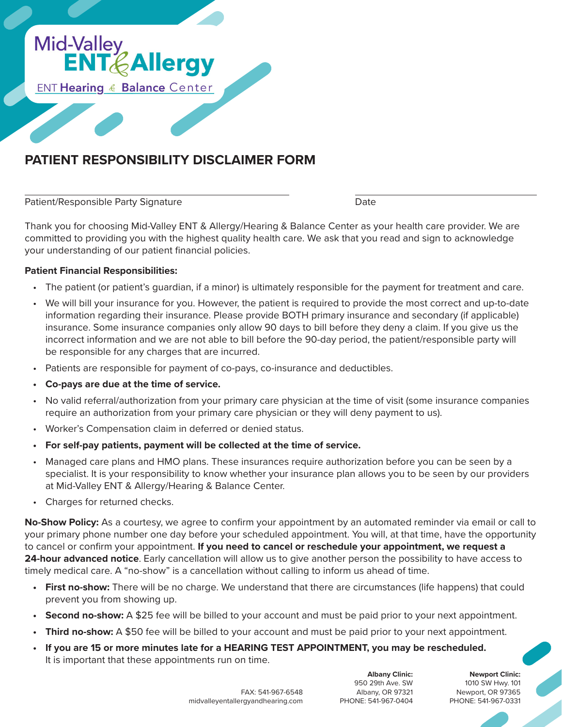

## **PATIENT RESPONSIBILITY DISCLAIMER FORM**

 $\overline{a}$ 

Patient/Responsible Party Signature **Date** Date Date

Thank you for choosing Mid-Valley ENT & Allergy/Hearing & Balance Center as your health care provider. We are committed to providing you with the highest quality health care. We ask that you read and sign to acknowledge your understanding of our patient financial policies.

#### **Patient Financial Responsibilities:**

- The patient (or patient's guardian, if a minor) is ultimately responsible for the payment for treatment and care.
- We will bill your insurance for you. However, the patient is required to provide the most correct and up-to-date information regarding their insurance. Please provide BOTH primary insurance and secondary (if applicable) insurance. Some insurance companies only allow 90 days to bill before they deny a claim. If you give us the incorrect information and we are not able to bill before the 90-day period, the patient/responsible party will be responsible for any charges that are incurred.
- Patients are responsible for payment of co-pays, co-insurance and deductibles.
- **• Co-pays are due at the time of service.**
- No valid referral/authorization from your primary care physician at the time of visit (some insurance companies require an authorization from your primary care physician or they will deny payment to us).
- Worker's Compensation claim in deferred or denied status.
- **• For self-pay patients, payment will be collected at the time of service.**
- Managed care plans and HMO plans. These insurances require authorization before you can be seen by a specialist. It is your responsibility to know whether your insurance plan allows you to be seen by our providers at Mid-Valley ENT & Allergy/Hearing & Balance Center.
- Charges for returned checks.

**No-Show Policy:** As a courtesy, we agree to confirm your appointment by an automated reminder via email or call to your primary phone number one day before your scheduled appointment. You will, at that time, have the opportunity to cancel or confirm your appointment. **If you need to cancel or reschedule your appointment, we request a 24-hour advanced notice**. Early cancellation will allow us to give another person the possibility to have access to timely medical care. A "no-show" is a cancellation without calling to inform us ahead of time.

- **• First no-show:** There will be no charge. We understand that there are circumstances (life happens) that could prevent you from showing up.
- **Second no-show:** A \$25 fee will be billed to your account and must be paid prior to your next appointment.
- **Third no-show:** A \$50 fee will be billed to your account and must be paid prior to your next appointment.
- **• If you are 15 or more minutes late for a HEARING TEST APPOINTMENT, you may be rescheduled.** It is important that these appointments run on time.

**Newport Clinic:** 1010 SW Hwy. 101 Newport, OR 97365 PHONE: 541-967-0331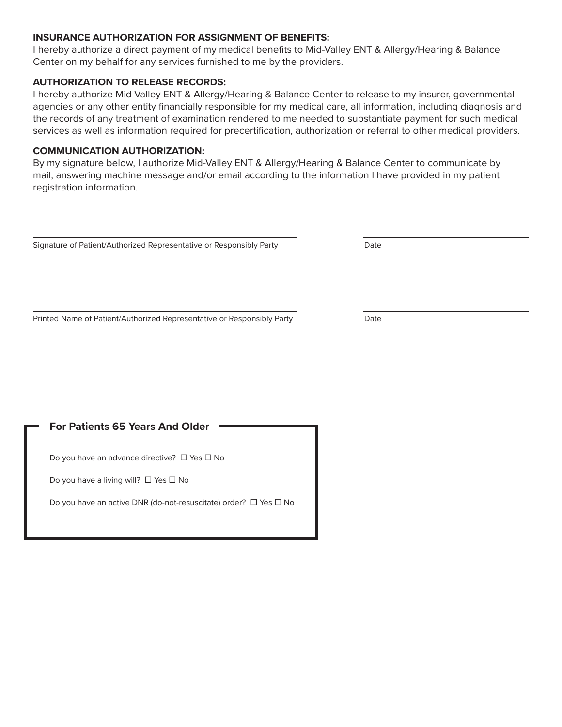#### **INSURANCE AUTHORIZATION FOR ASSIGNMENT OF BENEFITS:**

I hereby authorize a direct payment of my medical benefits to Mid-Valley ENT & Allergy/Hearing & Balance Center on my behalf for any services furnished to me by the providers.

#### **AUTHORIZATION TO RELEASE RECORDS:**

I hereby authorize Mid-Valley ENT & Allergy/Hearing & Balance Center to release to my insurer, governmental agencies or any other entity financially responsible for my medical care, all information, including diagnosis and the records of any treatment of examination rendered to me needed to substantiate payment for such medical services as well as information required for precertification, authorization or referral to other medical providers.

#### **COMMUNICATION AUTHORIZATION:**

By my signature below, I authorize Mid-Valley ENT & Allergy/Hearing & Balance Center to communicate by mail, answering machine message and/or email according to the information I have provided in my patient registration information.

Signature of Patient/Authorized Representative or Responsibly Party Date

 $\overline{a}$ 

Printed Name of Patient/Authorized Representative or Responsibly Party Date

 $\overline{a}$ 

### **For Patients 65 Years And Older**

Do you have an advance directive?  $\Box$  Yes  $\Box$  No

Do you have a living will?  $\Box$  Yes  $\Box$  No

Do you have an active DNR (do-not-resuscitate) order?  $\Box$  Yes  $\Box$  No